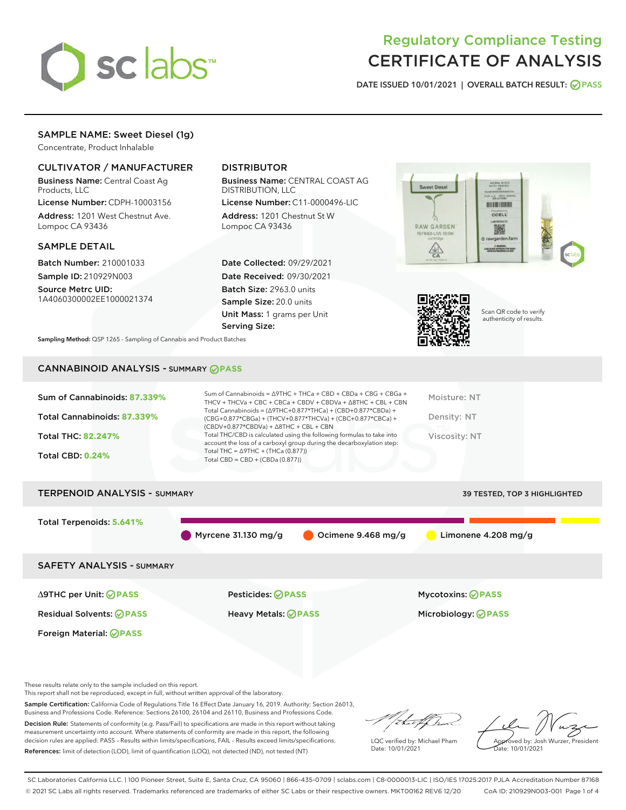

# Regulatory Compliance Testing CERTIFICATE OF ANALYSIS

DATE ISSUED 10/01/2021 | OVERALL BATCH RESULT: @ PASS

# SAMPLE NAME: Sweet Diesel (1g)

Concentrate, Product Inhalable

# CULTIVATOR / MANUFACTURER

Business Name: Central Coast Ag Products, LLC

License Number: CDPH-10003156 Address: 1201 West Chestnut Ave. Lompoc CA 93436

#### SAMPLE DETAIL

Batch Number: 210001033 Sample ID: 210929N003

Source Metrc UID: 1A4060300002EE1000021374

# DISTRIBUTOR

Business Name: CENTRAL COAST AG DISTRIBUTION, LLC

License Number: C11-0000496-LIC Address: 1201 Chestnut St W Lompoc CA 93436

Date Collected: 09/29/2021 Date Received: 09/30/2021 Batch Size: 2963.0 units Sample Size: 20.0 units Unit Mass: 1 grams per Unit Serving Size:





Scan QR code to verify authenticity of results.

Sampling Method: QSP 1265 - Sampling of Cannabis and Product Batches

# CANNABINOID ANALYSIS - SUMMARY **PASS**

| Sum of Cannabinoids: 87.339%<br>Total Cannabinoids: 87.339%<br><b>Total THC: 82.247%</b><br><b>Total CBD: 0.24%</b> | Sum of Cannabinoids = $\triangle$ 9THC + THCa + CBD + CBDa + CBG + CBGa +<br>THCV + THCVa + CBC + CBCa + CBDV + CBDVa + $\land$ 8THC + CBL + CBN<br>Total Cannabinoids = $(\Delta$ 9THC+0.877*THCa) + (CBD+0.877*CBDa) +<br>(CBG+0.877*CBGa) + (THCV+0.877*THCVa) + (CBC+0.877*CBCa) +<br>$(CBDV+0.877*CBDVa) + \Delta 8THC + CBL + CBN$<br>Total THC/CBD is calculated using the following formulas to take into<br>account the loss of a carboxyl group during the decarboxylation step:<br>Total THC = $\triangle$ 9THC + (THCa (0.877))<br>Total CBD = CBD + (CBDa (0.877)) | Moisture: NT<br>Density: NT<br>Viscosity: NT |
|---------------------------------------------------------------------------------------------------------------------|---------------------------------------------------------------------------------------------------------------------------------------------------------------------------------------------------------------------------------------------------------------------------------------------------------------------------------------------------------------------------------------------------------------------------------------------------------------------------------------------------------------------------------------------------------------------------------|----------------------------------------------|
| <b>TERPENOID ANALYSIS - SUMMARY</b>                                                                                 |                                                                                                                                                                                                                                                                                                                                                                                                                                                                                                                                                                                 | <b>39 TESTED, TOP 3 HIGHLIGHTED</b>          |
| Total Terpenoids: 5.641%                                                                                            |                                                                                                                                                                                                                                                                                                                                                                                                                                                                                                                                                                                 |                                              |

Myrcene 31.130 mg/g  $\bigcirc$  Ocimene 9.468 mg/g Limonene 4.208 mg/g

SAFETY ANALYSIS - SUMMARY

∆9THC per Unit: **PASS** Pesticides: **PASS** Mycotoxins: **PASS**

Foreign Material: **PASS**

Residual Solvents: **PASS** Heavy Metals: **PASS** Microbiology: **PASS**

These results relate only to the sample included on this report.

This report shall not be reproduced, except in full, without written approval of the laboratory.

Sample Certification: California Code of Regulations Title 16 Effect Date January 16, 2019. Authority: Section 26013, Business and Professions Code. Reference: Sections 26100, 26104 and 26110, Business and Professions Code.

Decision Rule: Statements of conformity (e.g. Pass/Fail) to specifications are made in this report without taking measurement uncertainty into account. Where statements of conformity are made in this report, the following decision rules are applied: PASS – Results within limits/specifications, FAIL – Results exceed limits/specifications. References: limit of detection (LOD), limit of quantification (LOQ), not detected (ND), not tested (NT)

that fCh

LQC verified by: Michael Pham Date: 10/01/2021

Approved by: Josh Wurzer, President Date: 10/01/2021

SC Laboratories California LLC. | 100 Pioneer Street, Suite E, Santa Cruz, CA 95060 | 866-435-0709 | sclabs.com | C8-0000013-LIC | ISO/IES 17025:2017 PJLA Accreditation Number 87168 © 2021 SC Labs all rights reserved. Trademarks referenced are trademarks of either SC Labs or their respective owners. MKT00162 REV6 12/20 CoA ID: 210929N003-001 Page 1 of 4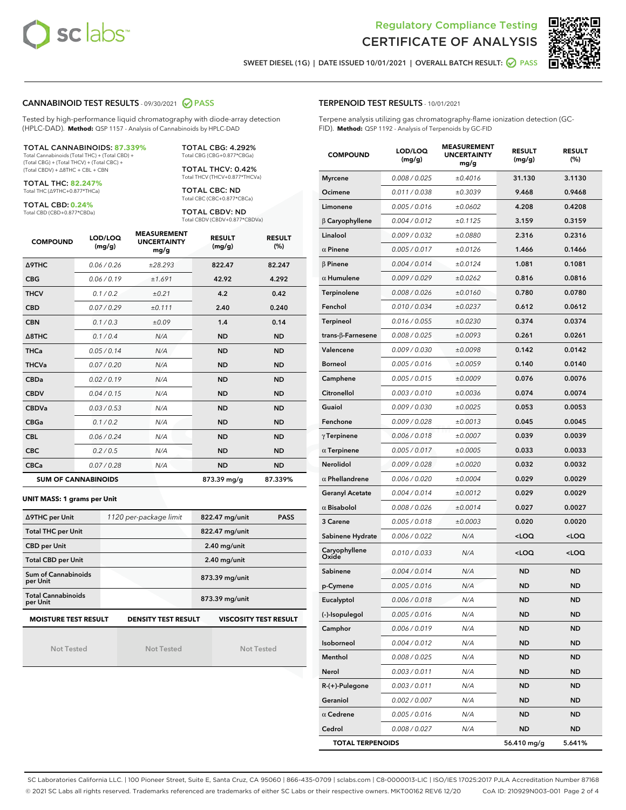



SWEET DIESEL (1G) | DATE ISSUED 10/01/2021 | OVERALL BATCH RESULT: @ PASS

#### CANNABINOID TEST RESULTS - 09/30/2021 2 PASS

Tested by high-performance liquid chromatography with diode-array detection (HPLC-DAD). **Method:** QSP 1157 - Analysis of Cannabinoids by HPLC-DAD

#### TOTAL CANNABINOIDS: **87.339%**

Total Cannabinoids (Total THC) + (Total CBD) + (Total CBG) + (Total THCV) + (Total CBC) + (Total CBDV) + ∆8THC + CBL + CBN

TOTAL THC: **82.247%** Total THC (∆9THC+0.877\*THCa)

TOTAL CBD: **0.24%**

Total CBD (CBD+0.877\*CBDa)

TOTAL CBG: 4.292% Total CBG (CBG+0.877\*CBGa)

TOTAL THCV: 0.42% Total THCV (THCV+0.877\*THCVa)

TOTAL CBC: ND Total CBC (CBC+0.877\*CBCa)

TOTAL CBDV: ND Total CBDV (CBDV+0.877\*CBDVa)

| <b>COMPOUND</b>            | LOD/LOQ<br>(mg/g) | <b>MEASUREMENT</b><br><b>UNCERTAINTY</b><br>mg/g | <b>RESULT</b><br>(mg/g) | <b>RESULT</b><br>(%) |
|----------------------------|-------------------|--------------------------------------------------|-------------------------|----------------------|
| <b>A9THC</b>               | 0.06/0.26         | ±28.293                                          | 822.47                  | 82.247               |
| <b>CBG</b>                 | 0.06/0.19         | ±1.691                                           | 42.92                   | 4.292                |
| <b>THCV</b>                | 0.1/0.2           | ±0.21                                            | 4.2                     | 0.42                 |
| <b>CBD</b>                 | 0.07/0.29         | ±0.111                                           | 2.40                    | 0.240                |
| <b>CBN</b>                 | 0.1 / 0.3         | ±0.09                                            | 1.4                     | 0.14                 |
| $\triangle$ 8THC           | 0.1 / 0.4         | N/A                                              | <b>ND</b>               | <b>ND</b>            |
| <b>THCa</b>                | 0.05/0.14         | N/A                                              | <b>ND</b>               | <b>ND</b>            |
| <b>THCVa</b>               | 0.07 / 0.20       | N/A                                              | <b>ND</b>               | <b>ND</b>            |
| <b>CBDa</b>                | 0.02/0.19         | N/A                                              | <b>ND</b>               | <b>ND</b>            |
| <b>CBDV</b>                | 0.04/0.15         | N/A                                              | <b>ND</b>               | <b>ND</b>            |
| <b>CBDVa</b>               | 0.03/0.53         | N/A                                              | <b>ND</b>               | <b>ND</b>            |
| <b>CBGa</b>                | 0.1/0.2           | N/A                                              | <b>ND</b>               | <b>ND</b>            |
| <b>CBL</b>                 | 0.06 / 0.24       | N/A                                              | <b>ND</b>               | <b>ND</b>            |
| <b>CBC</b>                 | 0.2 / 0.5         | N/A                                              | <b>ND</b>               | <b>ND</b>            |
| <b>CBCa</b>                | 0.07 / 0.28       | N/A                                              | <b>ND</b>               | <b>ND</b>            |
| <b>SUM OF CANNABINOIDS</b> |                   |                                                  | 873.39 mg/g             | 87.339%              |

#### **UNIT MASS: 1 grams per Unit**

| ∆9THC per Unit                                                                            | 1120 per-package limit | 822.47 mg/unit<br><b>PASS</b> |  |  |  |
|-------------------------------------------------------------------------------------------|------------------------|-------------------------------|--|--|--|
| <b>Total THC per Unit</b>                                                                 |                        | 822.47 mg/unit                |  |  |  |
| <b>CBD per Unit</b>                                                                       |                        | $2.40$ mg/unit                |  |  |  |
| <b>Total CBD per Unit</b>                                                                 |                        | $2.40$ mg/unit                |  |  |  |
| Sum of Cannabinoids<br>per Unit                                                           |                        | 873.39 mg/unit                |  |  |  |
| <b>Total Cannabinoids</b><br>per Unit                                                     |                        | 873.39 mg/unit                |  |  |  |
| <b>MOISTURE TEST RESULT</b><br><b>DENSITY TEST RESULT</b><br><b>VISCOSITY TEST RESULT</b> |                        |                               |  |  |  |

Not Tested

Not Tested

Not Tested

#### TERPENOID TEST RESULTS - 10/01/2021

Terpene analysis utilizing gas chromatography-flame ionization detection (GC-FID). **Method:** QSP 1192 - Analysis of Terpenoids by GC-FID

| <b>COMPOUND</b>           | LOD/LOQ<br>(mg/g) | <b>MEASUREMENT</b><br><b>UNCERTAINTY</b><br>mg/g | <b>RESULT</b><br>(mg/g)                         | <b>RESULT</b><br>(%) |
|---------------------------|-------------------|--------------------------------------------------|-------------------------------------------------|----------------------|
| <b>Myrcene</b>            | 0.008 / 0.025     | ±0.4016                                          | 31.130                                          | 3.1130               |
| Ocimene                   | 0.011 / 0.038     | ±0.3039                                          | 9.468                                           | 0.9468               |
| Limonene                  | 0.005 / 0.016     | ±0.0602                                          | 4.208                                           | 0.4208               |
| $\beta$ Caryophyllene     | 0.004 / 0.012     | ±0.1125                                          | 3.159                                           | 0.3159               |
| Linalool                  | 0.009 / 0.032     | ±0.0880                                          | 2.316                                           | 0.2316               |
| $\alpha$ Pinene           | 0.005 / 0.017     | ±0.0126                                          | 1.466                                           | 0.1466               |
| $\beta$ Pinene            | 0.004 / 0.014     | ±0.0124                                          | 1.081                                           | 0.1081               |
| $\alpha$ Humulene         | 0.009 / 0.029     | ±0.0262                                          | 0.816                                           | 0.0816               |
| Terpinolene               | 0.008 / 0.026     | ±0.0160                                          | 0.780                                           | 0.0780               |
| Fenchol                   | 0.010 / 0.034     | ±0.0237                                          | 0.612                                           | 0.0612               |
| <b>Terpineol</b>          | 0.016 / 0.055     | ±0.0230                                          | 0.374                                           | 0.0374               |
| trans- $\beta$ -Farnesene | 0.008 / 0.025     | ±0.0093                                          | 0.261                                           | 0.0261               |
| Valencene                 | 0.009 / 0.030     | ±0.0098                                          | 0.142                                           | 0.0142               |
| <b>Borneol</b>            | 0.005 / 0.016     | ±0.0059                                          | 0.140                                           | 0.0140               |
| Camphene                  | 0.005 / 0.015     | ±0.0009                                          | 0.076                                           | 0.0076               |
| Citronellol               | 0.003 / 0.010     | ±0.0036                                          | 0.074                                           | 0.0074               |
| Guaiol                    | 0.009 / 0.030     | ±0.0025                                          | 0.053                                           | 0.0053               |
| Fenchone                  | 0.009 / 0.028     | ±0.0013                                          | 0.045                                           | 0.0045               |
| $\gamma$ Terpinene        | 0.006 / 0.018     | ±0.0007                                          | 0.039                                           | 0.0039               |
| $\alpha$ Terpinene        | 0.005 / 0.017     | ±0.0005                                          | 0.033                                           | 0.0033               |
| Nerolidol                 | 0.009 / 0.028     | ±0.0020                                          | 0.032                                           | 0.0032               |
| $\alpha$ Phellandrene     | 0.006 / 0.020     | ±0.0004                                          | 0.029                                           | 0.0029               |
| <b>Geranyl Acetate</b>    | 0.004 / 0.014     | ±0.0012                                          | 0.029                                           | 0.0029               |
| $\alpha$ Bisabolol        | 0.008 / 0.026     | ±0.0014                                          | 0.027                                           | 0.0027               |
| 3 Carene                  | 0.005 / 0.018     | ±0.0003                                          | 0.020                                           | 0.0020               |
| Sabinene Hydrate          | 0.006 / 0.022     | N/A                                              | <loq< th=""><th><loq< th=""></loq<></th></loq<> | <loq< th=""></loq<>  |
| Caryophyllene<br>Oxide    | 0.010 / 0.033     | N/A                                              | <loq< th=""><th><loq< th=""></loq<></th></loq<> | <loq< th=""></loq<>  |
| Sabinene                  | 0.004 / 0.014     | N/A                                              | ND                                              | <b>ND</b>            |
| p-Cymene                  | 0.005 / 0.016     | N/A                                              | ND                                              | <b>ND</b>            |
| Eucalyptol                | 0.006 / 0.018     | N/A                                              | <b>ND</b>                                       | <b>ND</b>            |
| (-)-Isopulegol            | 0.005 / 0.016     | N/A                                              | ND                                              | <b>ND</b>            |
| Camphor                   | 0.006 / 0.019     | N/A                                              | <b>ND</b>                                       | <b>ND</b>            |
| Isoborneol                | 0.004 / 0.012     | N/A                                              | <b>ND</b>                                       | <b>ND</b>            |
| Menthol                   | 0.008 / 0.025     | N/A                                              | ND                                              | <b>ND</b>            |
| Nerol                     | 0.003 / 0.011     | N/A                                              | ND                                              | ND                   |
| $R-(+)$ -Pulegone         | 0.003 / 0.011     | N/A                                              | <b>ND</b>                                       | ND                   |
| Geraniol                  | 0.002 / 0.007     | N/A                                              | ND                                              | <b>ND</b>            |
| $\alpha$ Cedrene          | 0.005 / 0.016     | N/A                                              | ND                                              | ND                   |
| Cedrol                    | 0.008 / 0.027     | N/A                                              | ND                                              | <b>ND</b>            |
| <b>TOTAL TERPENOIDS</b>   |                   | 56.410 mg/g                                      | 5.641%                                          |                      |

SC Laboratories California LLC. | 100 Pioneer Street, Suite E, Santa Cruz, CA 95060 | 866-435-0709 | sclabs.com | C8-0000013-LIC | ISO/IES 17025:2017 PJLA Accreditation Number 87168 © 2021 SC Labs all rights reserved. Trademarks referenced are trademarks of either SC Labs or their respective owners. MKT00162 REV6 12/20 CoA ID: 210929N003-001 Page 2 of 4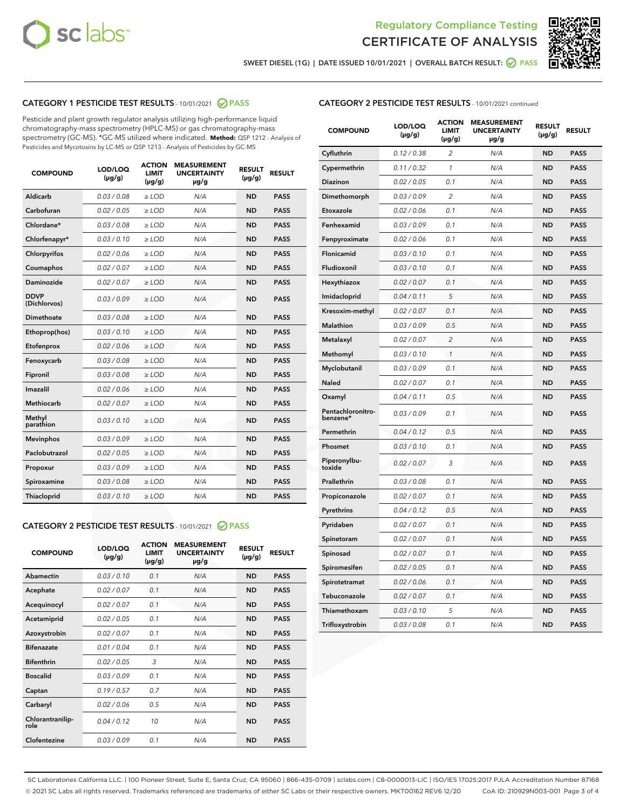



SWEET DIESEL (1G) | DATE ISSUED 10/01/2021 | OVERALL BATCH RESULT:  $\bigcirc$  PASS

# CATEGORY 1 PESTICIDE TEST RESULTS - 10/01/2021 2 PASS

Pesticide and plant growth regulator analysis utilizing high-performance liquid chromatography-mass spectrometry (HPLC-MS) or gas chromatography-mass spectrometry (GC-MS). \*GC-MS utilized where indicated. **Method:** QSP 1212 - Analysis of Pesticides and Mycotoxins by LC-MS or QSP 1213 - Analysis of Pesticides by GC-MS

| <b>COMPOUND</b>             | LOD/LOQ<br>$(\mu g/g)$ | <b>ACTION</b><br><b>LIMIT</b><br>$(\mu g/g)$ | <b>MEASUREMENT</b><br><b>UNCERTAINTY</b><br>$\mu$ g/g | <b>RESULT</b><br>$(\mu g/g)$ | <b>RESULT</b> |
|-----------------------------|------------------------|----------------------------------------------|-------------------------------------------------------|------------------------------|---------------|
| Aldicarb                    | 0.03 / 0.08            | $\ge$ LOD                                    | N/A                                                   | <b>ND</b>                    | <b>PASS</b>   |
| Carbofuran                  | 0.02/0.05              | $>$ LOD                                      | N/A                                                   | <b>ND</b>                    | <b>PASS</b>   |
| Chlordane*                  | 0.03 / 0.08            | $\ge$ LOD                                    | N/A                                                   | <b>ND</b>                    | <b>PASS</b>   |
| Chlorfenapyr*               | 0.03/0.10              | $\ge$ LOD                                    | N/A                                                   | <b>ND</b>                    | <b>PASS</b>   |
| Chlorpyrifos                | 0.02 / 0.06            | $\ge$ LOD                                    | N/A                                                   | <b>ND</b>                    | <b>PASS</b>   |
| Coumaphos                   | 0.02 / 0.07            | $\ge$ LOD                                    | N/A                                                   | <b>ND</b>                    | <b>PASS</b>   |
| Daminozide                  | 0.02 / 0.07            | $\ge$ LOD                                    | N/A                                                   | <b>ND</b>                    | <b>PASS</b>   |
| <b>DDVP</b><br>(Dichlorvos) | 0.03/0.09              | $\ge$ LOD                                    | N/A                                                   | <b>ND</b>                    | <b>PASS</b>   |
| <b>Dimethoate</b>           | 0.03/0.08              | $\ge$ LOD                                    | N/A                                                   | <b>ND</b>                    | <b>PASS</b>   |
| Ethoprop(hos)               | 0.03/0.10              | $>$ LOD                                      | N/A                                                   | <b>ND</b>                    | <b>PASS</b>   |
| Etofenprox                  | 0.02 / 0.06            | $\ge$ LOD                                    | N/A                                                   | <b>ND</b>                    | <b>PASS</b>   |
| Fenoxycarb                  | 0.03/0.08              | $>$ LOD                                      | N/A                                                   | <b>ND</b>                    | <b>PASS</b>   |
| Fipronil                    | 0.03 / 0.08            | $\ge$ LOD                                    | N/A                                                   | <b>ND</b>                    | <b>PASS</b>   |
| Imazalil                    | 0.02 / 0.06            | $\ge$ LOD                                    | N/A                                                   | <b>ND</b>                    | <b>PASS</b>   |
| Methiocarb                  | 0.02 / 0.07            | $\ge$ LOD                                    | N/A                                                   | <b>ND</b>                    | <b>PASS</b>   |
| Methyl<br>parathion         | 0.03/0.10              | $>$ LOD                                      | N/A                                                   | <b>ND</b>                    | <b>PASS</b>   |
| <b>Mevinphos</b>            | 0.03/0.09              | $>$ LOD                                      | N/A                                                   | <b>ND</b>                    | <b>PASS</b>   |
| Paclobutrazol               | 0.02 / 0.05            | $\ge$ LOD                                    | N/A                                                   | <b>ND</b>                    | <b>PASS</b>   |
| Propoxur                    | 0.03/0.09              | $>$ LOD                                      | N/A                                                   | <b>ND</b>                    | <b>PASS</b>   |
| Spiroxamine                 | 0.03 / 0.08            | $\ge$ LOD                                    | N/A                                                   | <b>ND</b>                    | <b>PASS</b>   |
| Thiacloprid                 | 0.03/0.10              | $\ge$ LOD                                    | N/A                                                   | <b>ND</b>                    | <b>PASS</b>   |
|                             |                        |                                              |                                                       |                              |               |

# CATEGORY 2 PESTICIDE TEST RESULTS - 10/01/2021 @ PASS

| <b>COMPOUND</b>          | LOD/LOO<br>$(\mu g/g)$ | <b>ACTION</b><br>LIMIT<br>$(\mu g/g)$ | <b>MEASUREMENT</b><br><b>UNCERTAINTY</b><br>$\mu$ g/g | <b>RESULT</b><br>$(\mu g/g)$ | <b>RESULT</b> |  |
|--------------------------|------------------------|---------------------------------------|-------------------------------------------------------|------------------------------|---------------|--|
| Abamectin                | 0.03/0.10              | 0.1                                   | N/A                                                   | <b>ND</b>                    | <b>PASS</b>   |  |
| Acephate                 | 0.02/0.07              | 0.1                                   | N/A                                                   | <b>ND</b>                    | <b>PASS</b>   |  |
| Acequinocyl              | 0.02/0.07              | 0.1                                   | N/A                                                   | <b>ND</b>                    | <b>PASS</b>   |  |
| Acetamiprid              | 0.02/0.05              | 0.1                                   | N/A                                                   | <b>ND</b>                    | <b>PASS</b>   |  |
| Azoxystrobin             | 0.02/0.07              | 0.1                                   | N/A                                                   | <b>ND</b>                    | <b>PASS</b>   |  |
| <b>Bifenazate</b>        | 0.01/0.04              | 0.1                                   | N/A                                                   | <b>ND</b>                    | <b>PASS</b>   |  |
| <b>Bifenthrin</b>        | 0.02/0.05              | 3                                     | N/A                                                   | <b>ND</b>                    | <b>PASS</b>   |  |
| <b>Boscalid</b>          | 0.03/0.09              | 0.1                                   | N/A                                                   | <b>ND</b>                    | <b>PASS</b>   |  |
| Captan                   | 0.19/0.57              | 0.7                                   | N/A                                                   | <b>ND</b>                    | <b>PASS</b>   |  |
| Carbaryl                 | 0.02/0.06              | 0.5                                   | N/A                                                   | <b>ND</b>                    | <b>PASS</b>   |  |
| Chlorantranilip-<br>role | 0.04/0.12              | 10                                    | N/A                                                   | <b>ND</b>                    | <b>PASS</b>   |  |
| Clofentezine             | 0.03/0.09              | 0.1                                   | N/A                                                   | <b>ND</b>                    | <b>PASS</b>   |  |

| <b>COMPOUND</b>               | LOD/LOQ<br>(µg/g) | <b>ACTION</b><br><b>LIMIT</b><br>$(\mu g/g)$ | <b>MEASUREMENT</b><br><b>UNCERTAINTY</b><br>µg/g | <b>RESULT</b><br>(µg/g) | <b>RESULT</b> |
|-------------------------------|-------------------|----------------------------------------------|--------------------------------------------------|-------------------------|---------------|
| Cyfluthrin                    | 0.12 / 0.38       | $\overline{2}$                               | N/A                                              | <b>ND</b>               | <b>PASS</b>   |
| Cypermethrin                  | 0.11 / 0.32       | $\mathcal{I}$                                | N/A                                              | <b>ND</b>               | <b>PASS</b>   |
| <b>Diazinon</b>               | 0.02 / 0.05       | 0.1                                          | N/A                                              | <b>ND</b>               | <b>PASS</b>   |
| Dimethomorph                  | 0.03 / 0.09       | 2                                            | N/A                                              | <b>ND</b>               | <b>PASS</b>   |
| Etoxazole                     | 0.02 / 0.06       | 0.1                                          | N/A                                              | <b>ND</b>               | <b>PASS</b>   |
| Fenhexamid                    | 0.03 / 0.09       | 0.1                                          | N/A                                              | <b>ND</b>               | <b>PASS</b>   |
| Fenpyroximate                 | 0.02 / 0.06       | 0.1                                          | N/A                                              | <b>ND</b>               | <b>PASS</b>   |
| Flonicamid                    | 0.03 / 0.10       | 0.1                                          | N/A                                              | <b>ND</b>               | <b>PASS</b>   |
| Fludioxonil                   | 0.03 / 0.10       | 0.1                                          | N/A                                              | <b>ND</b>               | <b>PASS</b>   |
| Hexythiazox                   | 0.02 / 0.07       | 0.1                                          | N/A                                              | <b>ND</b>               | <b>PASS</b>   |
| Imidacloprid                  | 0.04 / 0.11       | 5                                            | N/A                                              | <b>ND</b>               | <b>PASS</b>   |
| Kresoxim-methyl               | 0.02 / 0.07       | 0.1                                          | N/A                                              | <b>ND</b>               | <b>PASS</b>   |
| Malathion                     | 0.03 / 0.09       | 0.5                                          | N/A                                              | <b>ND</b>               | <b>PASS</b>   |
| Metalaxyl                     | 0.02 / 0.07       | $\overline{2}$                               | N/A                                              | <b>ND</b>               | <b>PASS</b>   |
| Methomyl                      | 0.03 / 0.10       | $\mathbf{1}$                                 | N/A                                              | <b>ND</b>               | <b>PASS</b>   |
| Myclobutanil                  | 0.03 / 0.09       | 0.1                                          | N/A                                              | <b>ND</b>               | <b>PASS</b>   |
| Naled                         | 0.02 / 0.07       | 0.1                                          | N/A                                              | ND                      | <b>PASS</b>   |
| Oxamyl                        | 0.04 / 0.11       | 0.5                                          | N/A                                              | <b>ND</b>               | <b>PASS</b>   |
| Pentachloronitro-<br>benzene* | 0.03/0.09         | 0.1                                          | N/A                                              | <b>ND</b>               | <b>PASS</b>   |
| Permethrin                    | 0.04 / 0.12       | 0.5                                          | N/A                                              | <b>ND</b>               | <b>PASS</b>   |
| Phosmet                       | 0.03 / 0.10       | 0.1                                          | N/A                                              | <b>ND</b>               | <b>PASS</b>   |
| Piperonylbu-<br>toxide        | 0.02 / 0.07       | 3                                            | N/A                                              | <b>ND</b>               | <b>PASS</b>   |
| Prallethrin                   | 0.03 / 0.08       | 0.1                                          | N/A                                              | <b>ND</b>               | <b>PASS</b>   |
| Propiconazole                 | 0.02 / 0.07       | 0.1                                          | N/A                                              | <b>ND</b>               | <b>PASS</b>   |
| Pyrethrins                    | 0.04 / 0.12       | 0.5                                          | N/A                                              | <b>ND</b>               | <b>PASS</b>   |
| Pyridaben                     | 0.02 / 0.07       | 0.1                                          | N/A                                              | <b>ND</b>               | <b>PASS</b>   |
| Spinetoram                    | 0.02 / 0.07       | 0.1                                          | N/A                                              | <b>ND</b>               | <b>PASS</b>   |
| Spinosad                      | 0.02 / 0.07       | 0.1                                          | N/A                                              | <b>ND</b>               | <b>PASS</b>   |
| Spiromesifen                  | 0.02 / 0.05       | 0.1                                          | N/A                                              | <b>ND</b>               | <b>PASS</b>   |
| Spirotetramat                 | 0.02 / 0.06       | 0.1                                          | N/A                                              | ND                      | <b>PASS</b>   |
| Tebuconazole                  | 0.02 / 0.07       | 0.1                                          | N/A                                              | <b>ND</b>               | <b>PASS</b>   |
| Thiamethoxam                  | 0.03 / 0.10       | 5                                            | N/A                                              | <b>ND</b>               | <b>PASS</b>   |
| Trifloxystrobin               | 0.03 / 0.08       | 0.1                                          | N/A                                              | ND                      | <b>PASS</b>   |

SC Laboratories California LLC. | 100 Pioneer Street, Suite E, Santa Cruz, CA 95060 | 866-435-0709 | sclabs.com | C8-0000013-LIC | ISO/IES 17025:2017 PJLA Accreditation Number 87168 © 2021 SC Labs all rights reserved. Trademarks referenced are trademarks of either SC Labs or their respective owners. MKT00162 REV6 12/20 CoA ID: 210929N003-001 Page 3 of 4